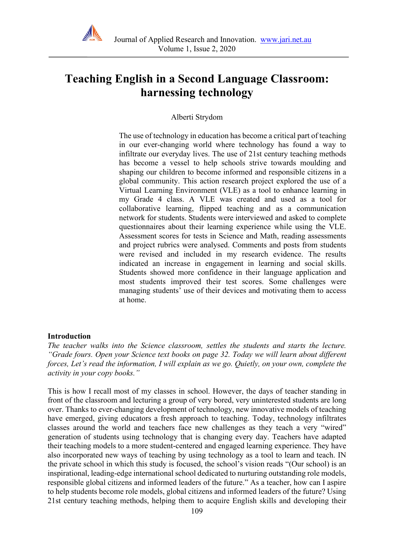

# **Teaching English in a Second Language Classroom: harnessing technology**

## Alberti Strydom

The use of technology in education has become a critical part of teaching in our ever-changing world where technology has found a way to infiltrate our everyday lives. The use of 21st century teaching methods has become a vessel to help schools strive towards moulding and shaping our children to become informed and responsible citizens in a global community. This action research project explored the use of a Virtual Learning Environment (VLE) as a tool to enhance learning in my Grade 4 class. A VLE was created and used as a tool for collaborative learning, flipped teaching and as a communication network for students. Students were interviewed and asked to complete questionnaires about their learning experience while using the VLE. Assessment scores for tests in Science and Math, reading assessments and project rubrics were analysed. Comments and posts from students were revised and included in my research evidence. The results indicated an increase in engagement in learning and social skills. Students showed more confidence in their language application and most students improved their test scores. Some challenges were managing students' use of their devices and motivating them to access at home.

#### **Introduction**

*The teacher walks into the Science classroom, settles the students and starts the lecture. "Grade fours. Open your Science text books on page 32. Today we will learn about different forces, Let's read the information, I will explain as we go. Quietly, on your own, complete the activity in your copy books."*

This is how I recall most of my classes in school. However, the days of teacher standing in front of the classroom and lecturing a group of very bored, very uninterested students are long over. Thanks to ever-changing development of technology, new innovative models of teaching have emerged, giving educators a fresh approach to teaching. Today, technology infiltrates classes around the world and teachers face new challenges as they teach a very "wired" generation of students using technology that is changing every day. Teachers have adapted their teaching models to a more student-centered and engaged learning experience. They have also incorporated new ways of teaching by using technology as a tool to learn and teach. IN the private school in which this study is focused, the school's vision reads "(Our school) is an inspirational, leading-edge international school dedicated to nurturing outstanding role models, responsible global citizens and informed leaders of the future." As a teacher, how can I aspire to help students become role models, global citizens and informed leaders of the future? Using 21st century teaching methods, helping them to acquire English skills and developing their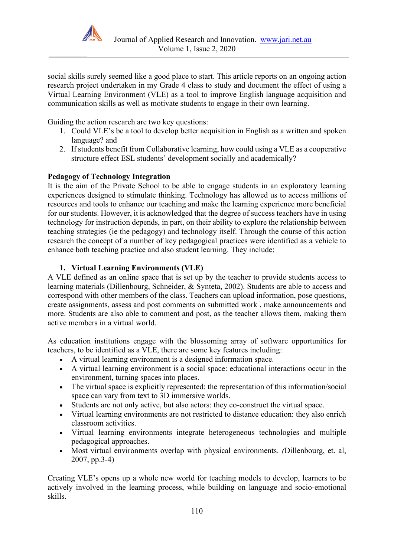

social skills surely seemed like a good place to start. This article reports on an ongoing action research project undertaken in my Grade 4 class to study and document the effect of using a Virtual Learning Environment (VLE) as a tool to improve English language acquisition and communication skills as well as motivate students to engage in their own learning.

Guiding the action research are two key questions:

- 1. Could VLE's be a tool to develop better acquisition in English as a written and spoken language? and
- 2. If students benefit from Collaborative learning, how could using a VLE as a cooperative structure effect ESL students' development socially and academically?

## **Pedagogy of Technology Integration**

It is the aim of the Private School to be able to engage students in an exploratory learning experiences designed to stimulate thinking. Technology has allowed us to access millions of resources and tools to enhance our teaching and make the learning experience more beneficial for our students. However, it is acknowledged that the degree of success teachers have in using technology for instruction depends, in part, on their ability to explore the relationship between teaching strategies (ie the pedagogy) and technology itself. Through the course of this action research the concept of a number of key pedagogical practices were identified as a vehicle to enhance both teaching practice and also student learning. They include:

## **1. Virtual Learning Environments (VLE)**

A VLE defined as an online space that is set up by the teacher to provide students access to learning materials (Dillenbourg, Schneider, & Synteta, 2002). Students are able to access and correspond with other members of the class. Teachers can upload information, pose questions, create assignments, assess and post comments on submitted work , make announcements and more. Students are also able to comment and post, as the teacher allows them, making them active members in a virtual world.

As education institutions engage with the blossoming array of software opportunities for teachers, to be identified as a VLE, there are some key features including:

- A virtual learning environment is a designed information space.
- A virtual learning environment is a social space: educational interactions occur in the environment, turning spaces into places.
- The virtual space is explicitly represented: the representation of this information/social space can vary from text to 3D immersive worlds.
- Students are not only active, but also actors: they co-construct the virtual space.
- Virtual learning environments are not restricted to distance education: they also enrich classroom activities.
- Virtual learning environments integrate heterogeneous technologies and multiple pedagogical approaches.
- Most virtual environments overlap with physical environments. *(*Dillenbourg, et. al, 2007, pp.3-4)

Creating VLE's opens up a whole new world for teaching models to develop, learners to be actively involved in the learning process, while building on language and socio-emotional skills.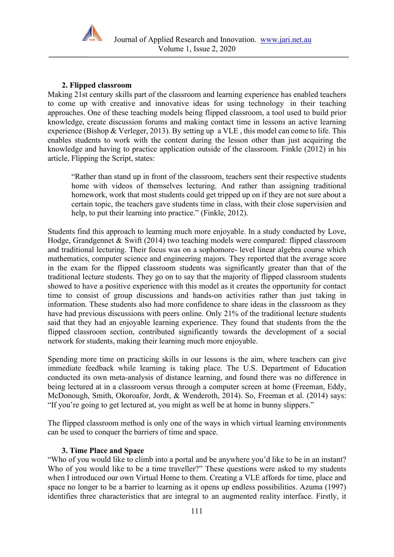

# **2. Flipped classroom**

Making 21st century skills part of the classroom and learning experience has enabled teachers to come up with creative and innovative ideas for using technology in their teaching approaches. One of these teaching models being flipped classroom, a tool used to build prior knowledge, create discussion forums and making contact time in lessons an active learning experience (Bishop & Verleger, 2013). By setting up a VLE , this model can come to life. This enables students to work with the content during the lesson other than just acquiring the knowledge and having to practice application outside of the classroom. Finkle (2012) in his article, Flipping the Script, states:

"Rather than stand up in front of the classroom, teachers sent their respective students home with videos of themselves lecturing. And rather than assigning traditional homework, work that most students could get tripped up on if they are not sure about a certain topic, the teachers gave students time in class, with their close supervision and help, to put their learning into practice." (Finkle, 2012).

Students find this approach to learning much more enjoyable. In a study conducted by Love, Hodge, Grandgennet & Swift (2014) two teaching models were compared: flipped classroom and traditional lecturing. Their focus was on a sophomore- level linear algebra course which mathematics, computer science and engineering majors. They reported that the average score in the exam for the flipped classroom students was significantly greater than that of the traditional lecture students. They go on to say that the majority of flipped classroom students showed to have a positive experience with this model as it creates the opportunity for contact time to consist of group discussions and hands-on activities rather than just taking in information. These students also had more confidence to share ideas in the classroom as they have had previous discussions with peers online. Only 21% of the traditional lecture students said that they had an enjoyable learning experience. They found that students from the the flipped classroom section, contributed significantly towards the development of a social network for students, making their learning much more enjoyable.

Spending more time on practicing skills in our lessons is the aim, where teachers can give immediate feedback while learning is taking place. The U.S. Department of Education conducted its own meta-analysis of distance learning, and found there was no difference in being lectured at in a classroom versus through a computer screen at home (Freeman, Eddy, McDonough, Smith, Okoroafor, Jordt, & Wenderoth, 2014). So, Freeman et al. (2014) says: "If you're going to get lectured at, you might as well be at home in bunny slippers."

The flipped classroom method is only one of the ways in which virtual learning environments can be used to conquer the barriers of time and space.

#### **3. Time Place and Space**

"Who of you would like to climb into a portal and be anywhere you'd like to be in an instant? Who of you would like to be a time traveller?" These questions were asked to my students when I introduced our own Virtual Home to them. Creating a VLE affords for time, place and space no longer to be a barrier to learning as it opens up endless possibilities. Azuma (1997) identifies three characteristics that are integral to an augmented reality interface. Firstly, it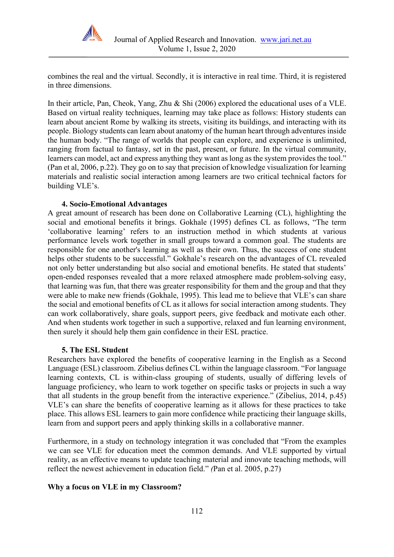

combines the real and the virtual. Secondly, it is interactive in real time. Third, it is registered in three dimensions.

In their article, Pan, Cheok, Yang, Zhu & Shi (2006) explored the educational uses of a VLE. Based on virtual reality techniques, learning may take place as follows: History students can learn about ancient Rome by walking its streets, visiting its buildings, and interacting with its people. Biology students can learn about anatomy of the human heart through adventures inside the human body. "The range of worlds that people can explore, and experience is unlimited, ranging from factual to fantasy, set in the past, present, or future. In the virtual community, learners can model, act and express anything they want as long as the system provides the tool." (Pan et al, 2006, p.22). They go on to say that precision of knowledge visualization for learning materials and realistic social interaction among learners are two critical technical factors for building VLE's.

#### **4. Socio-Emotional Advantages**

A great amount of research has been done on Collaborative Learning (CL), highlighting the social and emotional benefits it brings. Gokhale (1995) defines CL as follows, "The term 'collaborative learning' refers to an instruction method in which students at various performance levels work together in small groups toward a common goal. The students are responsible for one another's learning as well as their own. Thus, the success of one student helps other students to be successful." Gokhale's research on the advantages of CL revealed not only better understanding but also social and emotional benefits. He stated that students' open-ended responses revealed that a more relaxed atmosphere made problem-solving easy, that learning was fun, that there was greater responsibility for them and the group and that they were able to make new friends (Gokhale, 1995). This lead me to believe that VLE's can share the social and emotional benefits of CL as it allows for social interaction among students. They can work collaboratively, share goals, support peers, give feedback and motivate each other. And when students work together in such a supportive, relaxed and fun learning environment, then surely it should help them gain confidence in their ESL practice.

#### **5. The ESL Student**

Researchers have explored the benefits of cooperative learning in the English as a Second Language (ESL) classroom. Zibelius defines CL within the language classroom. "For language learning contexts, CL is within-class grouping of students, usually of differing levels of language proficiency, who learn to work together on specific tasks or projects in such a way that all students in the group benefit from the interactive experience." (Zibelius, 2014, p.45) VLE's can share the benefits of cooperative learning as it allows for these practices to take place. This allows ESL learners to gain more confidence while practicing their language skills, learn from and support peers and apply thinking skills in a collaborative manner.

Furthermore, in a study on technology integration it was concluded that "From the examples we can see VLE for education meet the common demands. And VLE supported by virtual reality, as an effective means to update teaching material and innovate teaching methods, will reflect the newest achievement in education field." *(*Pan et al. 2005, p.27)

#### **Why a focus on VLE in my Classroom?**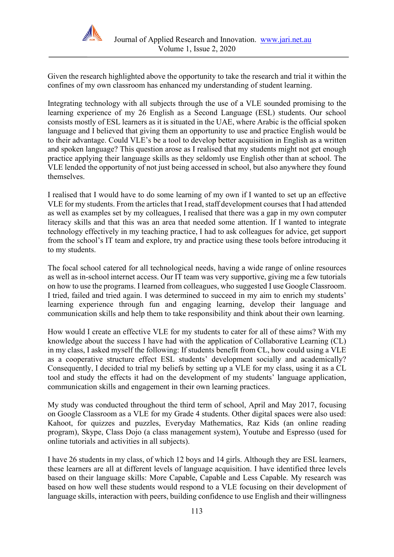

Given the research highlighted above the opportunity to take the research and trial it within the confines of my own classroom has enhanced my understanding of student learning.

Integrating technology with all subjects through the use of a VLE sounded promising to the learning experience of my 26 English as a Second Language (ESL) students. Our school consists mostly of ESL learners as it is situated in the UAE, where Arabic is the official spoken language and I believed that giving them an opportunity to use and practice English would be to their advantage. Could VLE's be a tool to develop better acquisition in English as a written and spoken language? This question arose as I realised that my students might not get enough practice applying their language skills as they seldomly use English other than at school. The VLE lended the opportunity of not just being accessed in school, but also anywhere they found themselves.

I realised that I would have to do some learning of my own if I wanted to set up an effective VLE for my students. From the articles that I read, staff development courses that I had attended as well as examples set by my colleagues, I realised that there was a gap in my own computer literacy skills and that this was an area that needed some attention. If I wanted to integrate technology effectively in my teaching practice, I had to ask colleagues for advice, get support from the school's IT team and explore, try and practice using these tools before introducing it to my students.

The focal school catered for all technological needs, having a wide range of online resources as well as in-school internet access. Our IT team was very supportive, giving me a few tutorials on how to use the programs. I learned from colleagues, who suggested I use Google Classroom. I tried, failed and tried again. I was determined to succeed in my aim to enrich my students' learning experience through fun and engaging learning, develop their language and communication skills and help them to take responsibility and think about their own learning.

How would I create an effective VLE for my students to cater for all of these aims? With my knowledge about the success I have had with the application of Collaborative Learning (CL) in my class, I asked myself the following: If students benefit from CL, how could using a VLE as a cooperative structure effect ESL students' development socially and academically? Consequently, I decided to trial my beliefs by setting up a VLE for my class, using it as a CL tool and study the effects it had on the development of my students' language application, communication skills and engagement in their own learning practices.

My study was conducted throughout the third term of school, April and May 2017, focusing on Google Classroom as a VLE for my Grade 4 students. Other digital spaces were also used: Kahoot, for quizzes and puzzles, Everyday Mathematics, Raz Kids (an online reading program), Skype, Class Dojo (a class management system), Youtube and Espresso (used for online tutorials and activities in all subjects).

I have 26 students in my class, of which 12 boys and 14 girls. Although they are ESL learners, these learners are all at different levels of language acquisition. I have identified three levels based on their language skills: More Capable, Capable and Less Capable. My research was based on how well these students would respond to a VLE focusing on their development of language skills, interaction with peers, building confidence to use English and their willingness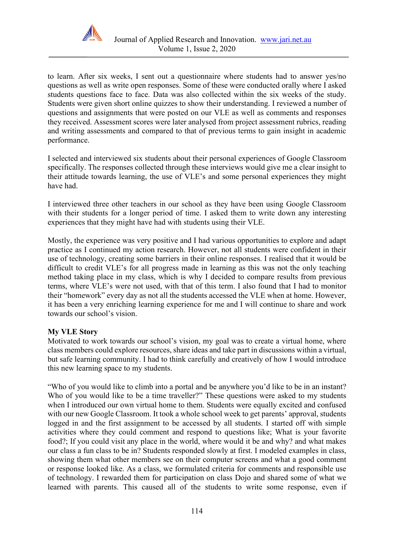

to learn. After six weeks, I sent out a questionnaire where students had to answer yes/no questions as well as write open responses. Some of these were conducted orally where I asked students questions face to face. Data was also collected within the six weeks of the study. Students were given short online quizzes to show their understanding. I reviewed a number of questions and assignments that were posted on our VLE as well as comments and responses they received. Assessment scores were later analysed from project assessment rubrics, reading and writing assessments and compared to that of previous terms to gain insight in academic performance.

I selected and interviewed six students about their personal experiences of Google Classroom specifically. The responses collected through these interviews would give me a clear insight to their attitude towards learning, the use of VLE's and some personal experiences they might have had.

I interviewed three other teachers in our school as they have been using Google Classroom with their students for a longer period of time. I asked them to write down any interesting experiences that they might have had with students using their VLE.

Mostly, the experience was very positive and I had various opportunities to explore and adapt practice as I continued my action research. However, not all students were confident in their use of technology, creating some barriers in their online responses. I realised that it would be difficult to credit VLE's for all progress made in learning as this was not the only teaching method taking place in my class, which is why I decided to compare results from previous terms, where VLE's were not used, with that of this term. I also found that I had to monitor their "homework" every day as not all the students accessed the VLE when at home. However, it has been a very enriching learning experience for me and I will continue to share and work towards our school's vision.

# **My VLE Story**

Motivated to work towards our school's vision, my goal was to create a virtual home, where class members could explore resources, share ideas and take part in discussions within a virtual, but safe learning community. I had to think carefully and creatively of how I would introduce this new learning space to my students.

"Who of you would like to climb into a portal and be anywhere you'd like to be in an instant? Who of you would like to be a time traveller?" These questions were asked to my students when I introduced our own virtual home to them. Students were equally excited and confused with our new Google Classroom. It took a whole school week to get parents' approval, students logged in and the first assignment to be accessed by all students. I started off with simple activities where they could comment and respond to questions like; What is your favorite food?; If you could visit any place in the world, where would it be and why? and what makes our class a fun class to be in? Students responded slowly at first. I modeled examples in class, showing them what other members see on their computer screens and what a good comment or response looked like. As a class, we formulated criteria for comments and responsible use of technology. I rewarded them for participation on class Dojo and shared some of what we learned with parents. This caused all of the students to write some response, even if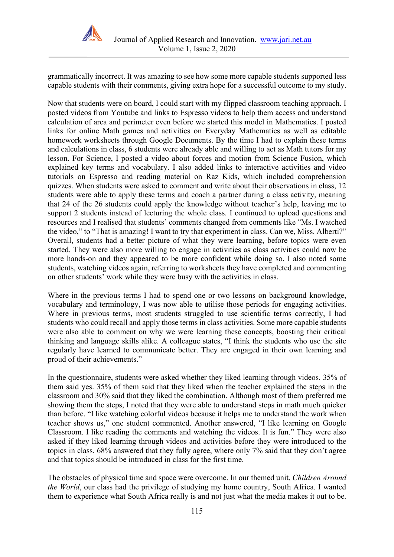

grammatically incorrect. It was amazing to see how some more capable students supported less capable students with their comments, giving extra hope for a successful outcome to my study.

Now that students were on board, I could start with my flipped classroom teaching approach. I posted videos from Youtube and links to Espresso videos to help them access and understand calculation of area and perimeter even before we started this model in Mathematics. I posted links for online Math games and activities on Everyday Mathematics as well as editable homework worksheets through Google Documents. By the time I had to explain these terms and calculations in class, 6 students were already able and willing to act as Math tutors for my lesson. For Science, I posted a video about forces and motion from Science Fusion, which explained key terms and vocabulary. I also added links to interactive activities and video tutorials on Espresso and reading material on Raz Kids, which included comprehension quizzes. When students were asked to comment and write about their observations in class, 12 students were able to apply these terms and coach a partner during a class activity, meaning that 24 of the 26 students could apply the knowledge without teacher's help, leaving me to support 2 students instead of lecturing the whole class. I continued to upload questions and resources and I realised that students' comments changed from comments like "Ms. I watched the video," to "That is amazing! I want to try that experiment in class. Can we, Miss. Alberti?" Overall, students had a better picture of what they were learning, before topics were even started. They were also more willing to engage in activities as class activities could now be more hands-on and they appeared to be more confident while doing so. I also noted some students, watching videos again, referring to worksheets they have completed and commenting on other students' work while they were busy with the activities in class.

Where in the previous terms I had to spend one or two lessons on background knowledge, vocabulary and terminology, I was now able to utilise those periods for engaging activities. Where in previous terms, most students struggled to use scientific terms correctly, I had students who could recall and apply those terms in class activities. Some more capable students were also able to comment on why we were learning these concepts, boosting their critical thinking and language skills alike. A colleague states, "I think the students who use the site regularly have learned to communicate better. They are engaged in their own learning and proud of their achievements."

In the questionnaire, students were asked whether they liked learning through videos. 35% of them said yes. 35% of them said that they liked when the teacher explained the steps in the classroom and 30% said that they liked the combination. Although most of them preferred me showing them the steps, I noted that they were able to understand steps in math much quicker than before. "I like watching colorful videos because it helps me to understand the work when teacher shows us," one student commented. Another answered, "I like learning on Google Classroom. I like reading the comments and watching the videos. It is fun." They were also asked if they liked learning through videos and activities before they were introduced to the topics in class. 68% answered that they fully agree, where only 7% said that they don't agree and that topics should be introduced in class for the first time.

The obstacles of physical time and space were overcome. In our themed unit, *Children Around the World*, our class had the privilege of studying my home country, South Africa. I wanted them to experience what South Africa really is and not just what the media makes it out to be.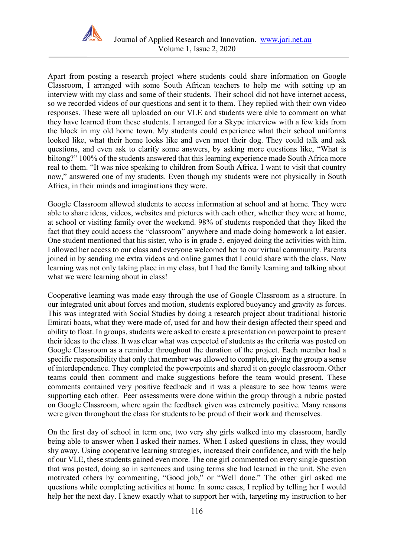

Apart from posting a research project where students could share information on Google Classroom, I arranged with some South African teachers to help me with setting up an interview with my class and some of their students. Their school did not have internet access, so we recorded videos of our questions and sent it to them. They replied with their own video responses. These were all uploaded on our VLE and students were able to comment on what they have learned from these students. I arranged for a Skype interview with a few kids from the block in my old home town. My students could experience what their school uniforms looked like, what their home looks like and even meet their dog. They could talk and ask questions, and even ask to clarify some answers, by asking more questions like, "What is biltong?" 100% of the students answered that this learning experience made South Africa more real to them. "It was nice speaking to children from South Africa. I want to visit that country now," answered one of my students. Even though my students were not physically in South Africa, in their minds and imaginations they were.

Google Classroom allowed students to access information at school and at home. They were able to share ideas, videos, websites and pictures with each other, whether they were at home, at school or visiting family over the weekend. 98% of students responded that they liked the fact that they could access the "classroom" anywhere and made doing homework a lot easier. One student mentioned that his sister, who is in grade 5, enjoyed doing the activities with him. I allowed her access to our class and everyone welcomed her to our virtual community. Parents joined in by sending me extra videos and online games that I could share with the class. Now learning was not only taking place in my class, but I had the family learning and talking about what we were learning about in class!

Cooperative learning was made easy through the use of Google Classroom as a structure. In our integrated unit about forces and motion, students explored buoyancy and gravity as forces. This was integrated with Social Studies by doing a research project about traditional historic Emirati boats, what they were made of, used for and how their design affected their speed and ability to float. In groups, students were asked to create a presentation on powerpoint to present their ideas to the class. It was clear what was expected of students as the criteria was posted on Google Classroom as a reminder throughout the duration of the project. Each member had a specific responsibility that only that member was allowed to complete, giving the group a sense of interdependence. They completed the powerpoints and shared it on google classroom. Other teams could then comment and make suggestions before the team would present. These comments contained very positive feedback and it was a pleasure to see how teams were supporting each other. Peer assessments were done within the group through a rubric posted on Google Classroom, where again the feedback given was extremely positive. Many reasons were given throughout the class for students to be proud of their work and themselves.

On the first day of school in term one, two very shy girls walked into my classroom, hardly being able to answer when I asked their names. When I asked questions in class, they would shy away. Using cooperative learning strategies, increased their confidence, and with the help of our VLE, these students gained even more. The one girl commented on every single question that was posted, doing so in sentences and using terms she had learned in the unit. She even motivated others by commenting, "Good job," or "Well done." The other girl asked me questions while completing activities at home. In some cases, I replied by telling her I would help her the next day. I knew exactly what to support her with, targeting my instruction to her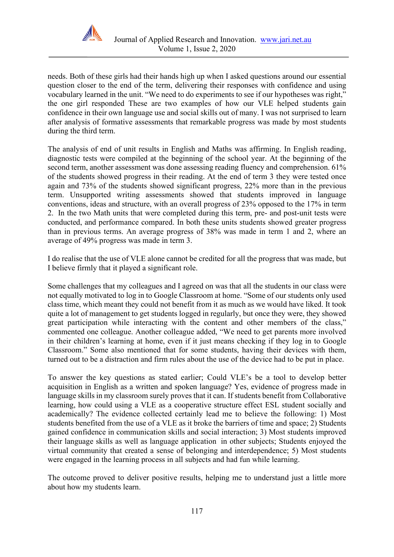

needs. Both of these girls had their hands high up when I asked questions around our essential question closer to the end of the term, delivering their responses with confidence and using vocabulary learned in the unit. "We need to do experiments to see if our hypotheses was right," the one girl responded These are two examples of how our VLE helped students gain confidence in their own language use and social skills out of many. I was not surprised to learn after analysis of formative assessments that remarkable progress was made by most students during the third term.

The analysis of end of unit results in English and Maths was affirming. In English reading, diagnostic tests were compiled at the beginning of the school year. At the beginning of the second term, another assessment was done assessing reading fluency and comprehension. 61% of the students showed progress in their reading. At the end of term 3 they were tested once again and 73% of the students showed significant progress, 22% more than in the previous term. Unsupported writing assessments showed that students improved in language conventions, ideas and structure, with an overall progress of 23% opposed to the 17% in term 2. In the two Math units that were completed during this term, pre- and post-unit tests were conducted, and performance compared. In both these units students showed greater progress than in previous terms. An average progress of 38% was made in term 1 and 2, where an average of 49% progress was made in term 3.

I do realise that the use of VLE alone cannot be credited for all the progress that was made, but I believe firmly that it played a significant role.

Some challenges that my colleagues and I agreed on was that all the students in our class were not equally motivated to log in to Google Classroom at home. "Some of our students only used class time, which meant they could not benefit from it as much as we would have liked. It took quite a lot of management to get students logged in regularly, but once they were, they showed great participation while interacting with the content and other members of the class," commented one colleague. Another colleague added, "We need to get parents more involved in their children's learning at home, even if it just means checking if they log in to Google Classroom." Some also mentioned that for some students, having their devices with them, turned out to be a distraction and firm rules about the use of the device had to be put in place.

To answer the key questions as stated earlier; Could VLE's be a tool to develop better acquisition in English as a written and spoken language? Yes, evidence of progress made in language skills in my classroom surely proves that it can. If students benefit from Collaborative learning, how could using a VLE as a cooperative structure effect ESL student socially and academically? The evidence collected certainly lead me to believe the following: 1) Most students benefited from the use of a VLE as it broke the barriers of time and space; 2) Students gained confidence in communication skills and social interaction; 3) Most students improved their language skills as well as language application in other subjects; Students enjoyed the virtual community that created a sense of belonging and interdependence; 5) Most students were engaged in the learning process in all subjects and had fun while learning.

The outcome proved to deliver positive results, helping me to understand just a little more about how my students learn.